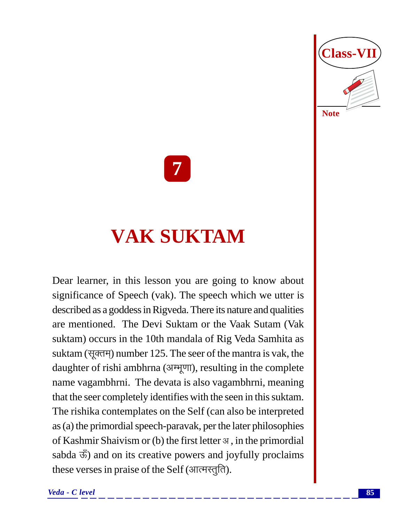

**7**

# **VAK SUKTAM**

Dear learner, in this lesson you are going to know about significance of Speech (vak). The speech which we utter is described as a goddess in Rigveda. There its nature and qualities are mentioned. The Devi Suktam or the Vaak Sutam (Vak suktam) occurs in the 10th mandala of Rig Veda Samhita as suktam (सूक्तम्) number 125. The seer of the mantra is vak, the daughter of rishi ambhrna (अम्भूणा), resulting in the complete name vagambhrni. The devata is also vagambhrni, meaning that the seer completely identifies with the seen in this suktam. The rishika contemplates on the Self (can also be interpreted as (a) the primordial speech-paravak, per the later philosophies of Kashmir Shaivism or (b) the first letter  $\alpha$ , in the primordial sabda  $\ddot{\mathcal{F}}$ ) and on its creative powers and joyfully proclaims these verses in praise of the Self (आत्मस्तुति).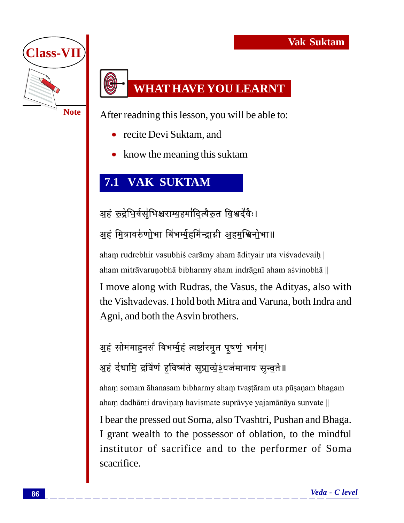

#### **WHAT HAVE YOU LEARNT**

After readning this lesson, you will be able to:

- recite Devi Suktam, and
- know the meaning this suktam

#### **7.1 VAK SUKTAM**

अहं रुद्रेभिर्वसुभिश्चराम्युहमांदित्यैरुत विश्वदेवैः। अहं मित्रावरुणोभा बिभर्म्युहमिन्द्राग्नी अहमुश्विनोभा॥

aham rudrebhir vasubhiś carāmy aham ādityair uta viśvadevaih | aham mitrāvaruņobhā bibharmy aham indrāgnī aham asvinobhā ||

I move along with Rudras, the Vasus, the Adityas, also with the Vishvadevas. I hold both Mitra and Varuna, both Indra and Agni, and both the Asvin brothers.

अहं सोमंमाहनसं बिभर्म्युहं त्वष्टांरमुत पूषणुं भगंम्। अहं दंधामि द्रविणं हुविष्मंते सुप्राव्येईयजंमानाय सुन्वते॥

aham somam āhanasam bibharmy aham tvastāram uta pūsaņam bhagam | aham dadhāmi draviņam havismate suprāvye yajamānāya sunvate ||

I bear the pressed out Soma, also Tvashtri, Pushan and Bhaga. I grant wealth to the possessor of oblation, to the mindful institutor of sacrifice and to the performer of Soma scacrifice.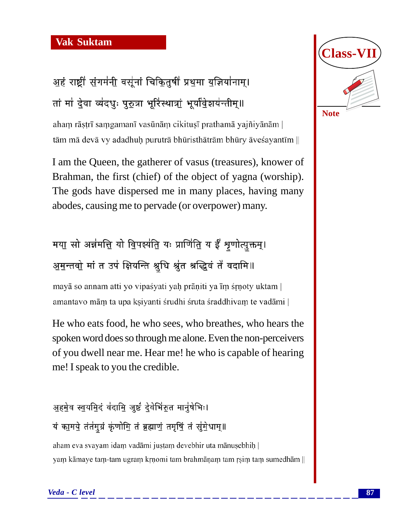### अहं राष्ट्रीं संगमंनी वसूंनां चिकितुषीं प्रथुमा युज्ञियांनाम्। तां मां देवा व्यंदधुः पुरुत्रा भूरिंस्थात्रां भूर्यावेशयन्तीम्॥

aham rāṣṭrī saṃgamanī vasūnāṃ cikituṣī prathamā yajñiyānām | tām mā devā vy adadhuḥ purutrā bhūristhātrām bhūry āveśayantīm  $\parallel$ 

I am the Queen, the gatherer of vasus (treasures), knower of Brahman, the first (chief) of the object of yagna (worship). The gods have dispersed me in many places, having many abodes, causing me to pervade (or overpower) many.

#### मया सो अन्नमत्ति यो विपर्श्यति यः प्राणिति य ईँ शृणोत्युक्तम्। अ़मुन्तवो मां त उपं क्षियन्ति श्रुधि श्रुंत श्रद्धिवं तै वदामि॥

mayā so annam atti yo vipaśyati yah prāņiti ya īm śrņoty uktam | amantavo mām ta upa ksiyanti śrudhi śruta śraddhivam te vadāmi ||

He who eats food, he who sees, who breathes, who hears the spoken word does so through me alone. Even the non-perceivers of you dwell near me. Hear me! he who is capable of hearing me! I speak to you the credible.

अहमेव स्वयमिदं वंदामि जुष्टं देवेभिंरुत मानूंषेभिः। यं कामये तंतमुग्रं कृणोमि तं ब्रह्माणं तमृषिं तं सुंमेधाम्॥

aham eva svayam idam vadāmi justam devebhir uta mānusebhih | yam kāmaye tam-tam ugram krņomi tam brahmāņam tam rsim tam sumedhām ||

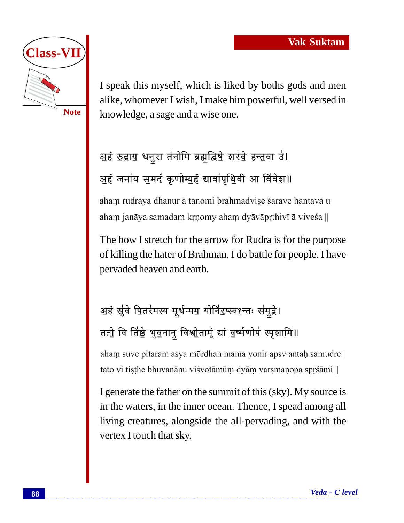

I speak this myself, which is liked by boths gods and men alike, whomever I wish, I make him powerful, well versed in knowledge, a sage and a wise one.

# अहं रुद्राय धनुरा तंनोमि ब्रह्मद्विषे शरंबे हन्तवा उं। अहं जनांय समदं कृणोम्यहं द्यावांपृथिवी आ विंवेश॥

aham rudrāya dhanur ā tanomi brahmadvise śarave hantavā u aham janāya samadam krņomy aham dyāvāprthivī ā vivesa ||

The bow I stretch for the arrow for Rudra is for the purpose of killing the hater of Brahman. I do battle for people. I have pervaded heaven and earth.

# अहं सुंवे पितरंमस्य मूर्धन्मम् योनिं<u>र</u>प्स्व<u>र</u>्थन्तः संमुद्रे। ततो वि तिष्ठे भुवनानु विश्वोतामूं द्यां वर्ष्मणोपं स्पृशामि॥

aham suve pitaram asya murdhan mama yonir apsy antah samudre | tato vi tisthe bhuvanānu visvotāmum dyām varsmaņopa sprsāmi ||

I generate the father on the summit of this (sky). My source is in the waters, in the inner ocean. Thence, I spead among all living creatures, alongside the all-pervading, and with the vertex I touch that sky.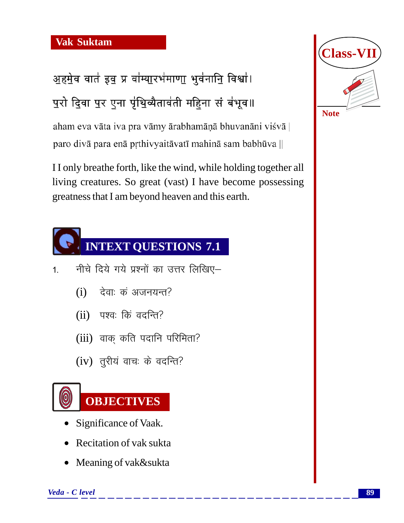अहमेव वातं इवु प्र वांम्यारभंमाणा भुवंनानि विश्वां। पुरो दिवा पुर एना पृंथिव्यैतावंती महिना सं बंभूव॥

aham eva vāta iva pra vāmy ārabhamāņā bhuvanāni viśvā | paro divā para enā prthivyaitāvatī mahinā sam babhūva ||

I I only breathe forth, like the wind, while holding together all living creatures. So great (vast) I have become possessing greatness that I am beyond heaven and this earth.



- 1. नीचे दिये गये प्रश्नों का उत्तर लिखिए–
	- $(i)$  देवाः कं अजनयन्त?
	- $(ii)$  पश्वः किं वदन्ति?
	- $(iii)$  वाक कति पदानि परिमिता?
	- $(iv)$  तुरीयं वाचः के वदन्ति?



- Significance of Vaak.
- Recitation of vak sukta
- Meaning of vak&sukta